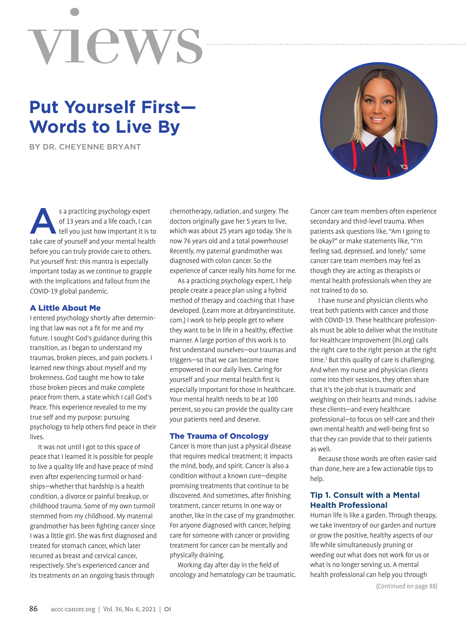# view

# **Put Yourself First— Words to Live By**

BY DR. CHEYENNE BRYANT

s a practicing psychology expert<br>
of 13 years and a life coach, I can<br>
tell you just how important it is to<br>
tele care of yourself and your mental boalth of 13 years and a life coach, I can take care of yourself and your mental health before you can truly provide care to others. Put yourself first: this mantra is especially important today as we continue to grapple with the implications and fallout from the COVID-19 global pandemic.

#### A Little About Me

I entered psychology shortly after determining that law was not a fit for me and my future. I sought God's guidance during this transition, as I began to understand my traumas, broken pieces, and pain pockets. I learned new things about myself and my brokenness. God taught me how to take those broken pieces and make complete peace from them, a state which I call God's Peace. This experience revealed to me my true self and my purpose: pursuing psychology to help others find peace in their lives.

It was not until I got to this space of peace that I learned it is possible for people to live a quality life and have peace of mind even after experiencing turmoil or hardships—whether that hardship is a health condition, a divorce or painful breakup, or childhood trauma. Some of my own turmoil stemmed from my childhood. My maternal grandmother has been fighting cancer since I was a little girl. She was first diagnosed and treated for stomach cancer, which later recurred as breast and cervical cancer, respectively. She's experienced cancer and its treatments on an ongoing basis through

chemotherapy, radiation, and surgery. The doctors originally gave her 5 years to live, which was about 25 years ago today. She is now 76 years old and a total powerhouse! Recently, my paternal grandmother was diagnosed with colon cancer. So the experience of cancer really hits home for me.

As a practicing psychology expert, I help people create a peace plan using a hybrid method of therapy and coaching that I have developed. (Learn more at drbryantinstitute. com.) I work to help people get to where they want to be in life in a healthy, effective manner. A large portion of this work is to first understand ourselves—our traumas and triggers—so that we can become more empowered in our daily lives. Caring for yourself and your mental health first is especially important for those in healthcare. Your mental health needs to be at 100 percent, so you can provide the quality care your patients need and deserve.

#### The Trauma of Oncology

Cancer is more than just a physical disease that requires medical treatment; it impacts the mind, body, and spirit. Cancer is also a condition without a known cure—despite promising treatments that continue to be discovered. And sometimes, after finishing treatment, cancer returns in one way or another, like in the case of my grandmother. For anyone diagnosed with cancer, helping care for someone with cancer or providing treatment for cancer can be mentally and physically draining.

Working day after day in the field of oncology and hematology can be traumatic.



Cancer care team members often experience secondary and third-level trauma. When patients ask questions like, "Am I going to be okay?" or make statements like, "I'm feeling sad, depressed, and lonely," some cancer care team members may feel as though they are acting as therapists or mental health professionals when they are not trained to do so.

I have nurse and physician clients who treat both patients with cancer and those with COVID-19. These healthcare professionals must be able to deliver what the Institute for Healthcare Improvement (ihi.org) calls the right care to the right person at the right time.<sup>1</sup> But this quality of care is challenging. And when my nurse and physician clients come into their sessions, they often share that it's the job that is traumatic and weighing on their hearts and minds. I advise these clients—and every healthcare professional—to focus on self-care and their own mental health and well-being first so that they can provide that to their patients as well.

Because those words are often easier said than done, here are a few actionable tips to help.

# **Tip 1. Consult with a Mental Health Professional**

Human life is like a garden. Through therapy, we take inventory of our garden and nurture or grow the positive, healthy aspects of our life while simultaneously pruning or weeding out what does not work for us or what is no longer serving us. A mental health professional can help you through